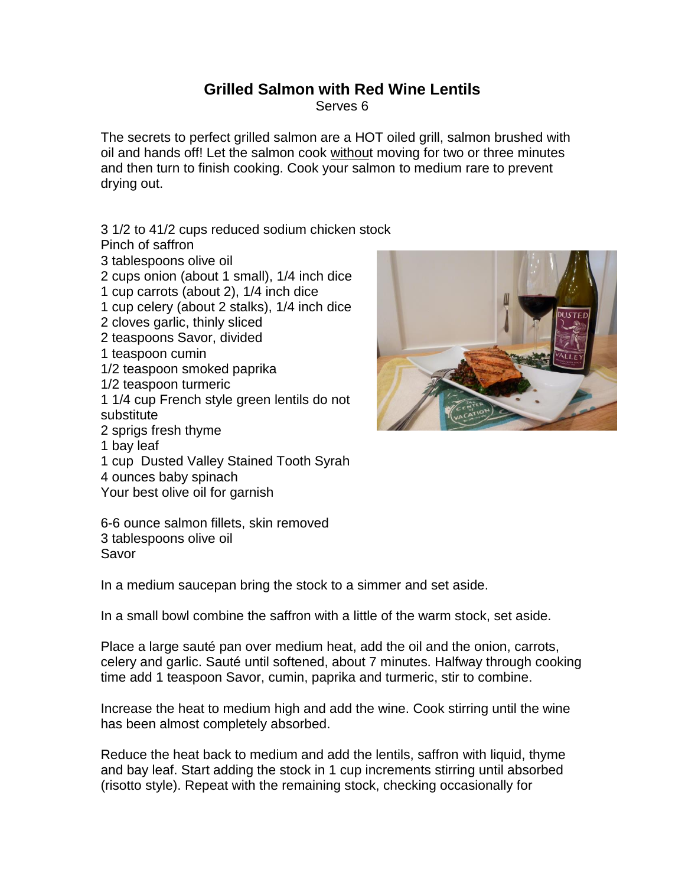## **Grilled Salmon with Red Wine Lentils**

Serves 6

The secrets to perfect grilled salmon are a HOT oiled grill, salmon brushed with oil and hands off! Let the salmon cook without moving for two or three minutes and then turn to finish cooking. Cook your salmon to medium rare to prevent drying out.

3 1/2 to 41/2 cups reduced sodium chicken stock

Pinch of saffron

3 tablespoons olive oil

2 cups onion (about 1 small), 1/4 inch dice

1 cup carrots (about 2), 1/4 inch dice

1 cup celery (about 2 stalks), 1/4 inch dice

2 cloves garlic, thinly sliced

2 teaspoons Savor, divided

1 teaspoon cumin

1/2 teaspoon smoked paprika

1/2 teaspoon turmeric

1 1/4 cup French style green lentils do not substitute

2 sprigs fresh thyme

1 bay leaf

1 cup Dusted Valley Stained Tooth Syrah

4 ounces baby spinach

Your best olive oil for garnish

6-6 ounce salmon fillets, skin removed 3 tablespoons olive oil Savor

In a medium saucepan bring the stock to a simmer and set aside.

In a small bowl combine the saffron with a little of the warm stock, set aside.

Place a large sauté pan over medium heat, add the oil and the onion, carrots, celery and garlic. Sauté until softened, about 7 minutes. Halfway through cooking time add 1 teaspoon Savor, cumin, paprika and turmeric, stir to combine.

Increase the heat to medium high and add the wine. Cook stirring until the wine has been almost completely absorbed.

Reduce the heat back to medium and add the lentils, saffron with liquid, thyme and bay leaf. Start adding the stock in 1 cup increments stirring until absorbed (risotto style). Repeat with the remaining stock, checking occasionally for